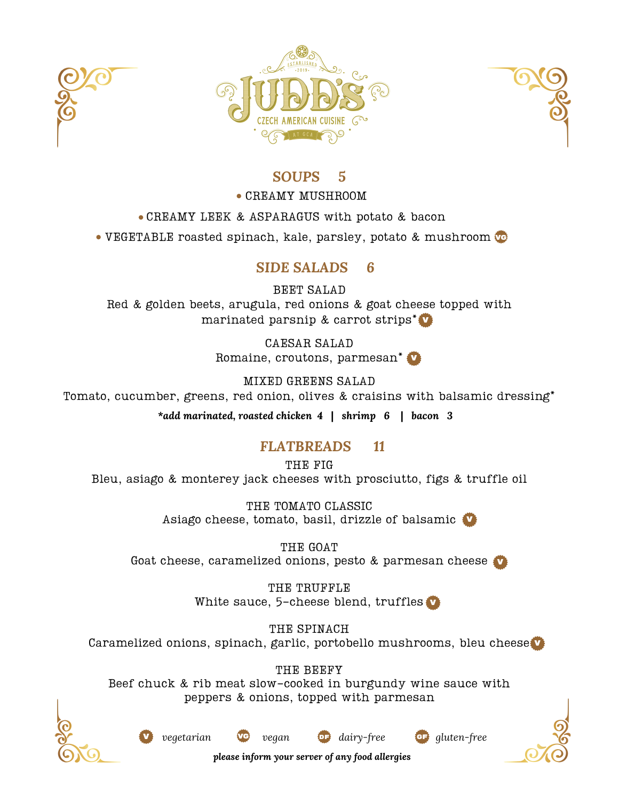





## *SOUPS 5*

#### CREAMY MUSHROOM

CREAMY LEEK & ASPARAGUS with potato & bacon

VEGETABLE roasted spinach, kale, parsley, potato & mushroom VG

# *SIDE SALADS 6*

BEET SALAD Red & golden beets, arugula, red onions & goat cheese topped with marinated parsnip & carrot strips\* V

> CAESAR SALAD Romaine, croutons, parmesan\* **V**

MIXED GREENS SALAD Tomato, cucumber, greens, red onion, olives & craisins with balsamic dressing\*

*\*add marinated, roasted chicken 4* **|** *shrimp 6* **|** *bacon 3*

# *FLATBREADS 11*

THE FIG Bleu, asiago & monterey jack cheeses with prosciutto, figs & truffle oil

> THE TOMATO CLASSIC Asiago cheese, tomato, basil, drizzle of balsamic V

THE GOAT Goat cheese, caramelized onions, pesto & parmesan cheese V

> THE TRUFFLE White sauce, 5-cheese blend, truffles V

THE SPINACH Caramelized onions, spinach, garlic, portobello mushrooms, bleu cheese V

THE BEEFY Beef chuck & rib meat slow-cooked in burgundy wine sauce with peppers & onions, topped with parmesan



V *vegetarian* VG *vegan* DF *dairy-free* gF *gluten-free*







*please inform your server of any food allergies*